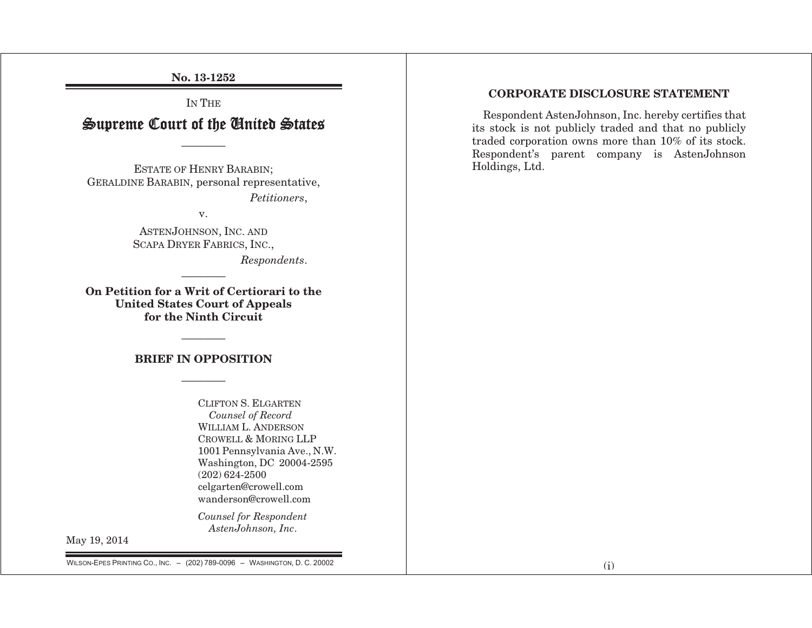No. 13-1252

# IN THE Supreme Court of the United States

————

ESTATE OF HENRY BARABIN; GERALDINE BARABIN, personal representative, *Petitioners*,

v.

ASTENJOHNSON, INC. AND SCAPA DRYER FABRICS, INC., *Respondents*.

On Petition for a Writ of Certiorari to the United States Court of Appeals for the Ninth Circuit

### BRIEF IN OPPOSITION

CLIFTON S. ELGARTEN *Counsel of Record*  WILLIAM L. ANDERSON CROWELL & MORING LLP 1001 Pennsylvania Ave., N.W. Washington, DC 20004-2595 (202) 624-2500 celgarten@crowell.com wanderson@crowell.com

*Counsel for Respondent AstenJohnson, Inc*.

May 19, 2014

CORPORATE DISCLOSURE STATEMENT

Respondent AstenJohnson, Inc. hereby certifies that its stock is not publicly traded and that no publicly traded corporation owns more than 10% of its stock. Respondent's parent company is AstenJohnson Holdings, Ltd.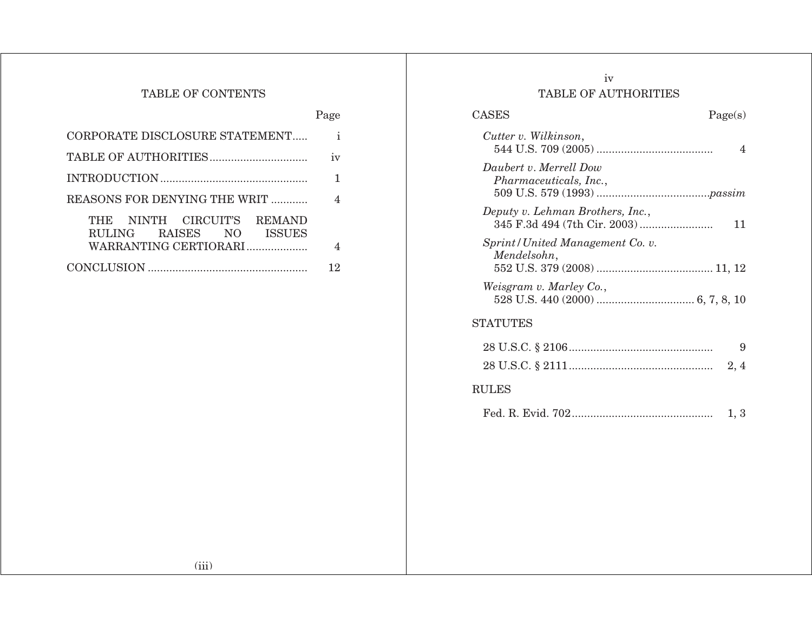## TABLE OF CONTENTS

|                                                                                                       | Page        |
|-------------------------------------------------------------------------------------------------------|-------------|
| CORPORATE DISCLOSURE STATEMENT                                                                        | $\mathbf i$ |
|                                                                                                       | 1V          |
|                                                                                                       |             |
| REASONS FOR DENYING THE WRIT                                                                          | 4           |
| NINTH CIRCUIT'S<br><b>REMAND</b><br>THE<br><b>ISSUES</b><br>RULING RAISES NO<br>WARRANTING CERTIORARI | 4           |
|                                                                                                       | 12          |

## iv TABLE OF AUTHORITIES

| CASES |                                                         | Page(s) |
|-------|---------------------------------------------------------|---------|
|       | Cutter v. Wilkinson,                                    |         |
|       | Daubert v. Merrell Dow<br><i>Pharmaceuticals, Inc.,</i> |         |
|       | Deputy v. Lehman Brothers, Inc.,                        | 11      |
|       | Sprint/United Management Co. v.<br>Mendelsohn,          |         |
|       | Weisgram v. Marley Co.,                                 |         |
|       | <b>STATUTES</b>                                         |         |
|       | $00$ TT C $\cap$ $\Omega$ 010 $\Omega$                  |         |

| <b>RULES</b> |  |
|--------------|--|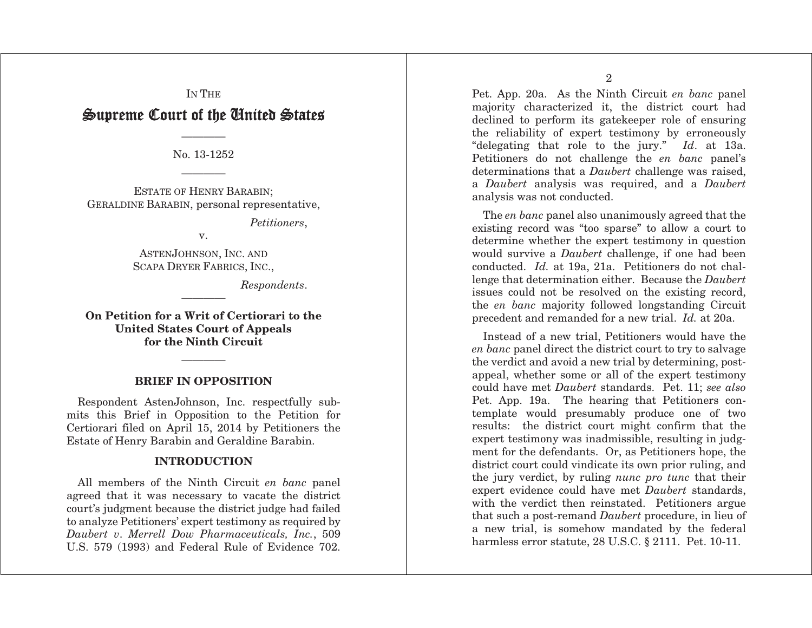## IN THE Supreme Court of the Cinited States  $\,$

———— No. 13-1252

ESTATE OF HENRY BARABIN; GERALDINE BARABIN, personal representative,

————

*Petitioners*,

v.

ASTEN JOHNSON, INC. AND SCAPA DRYER FABRICS, INC.,

*Respondents*.

On Petition for a Writ of Certiorari to the United States Court of Appeals for the Ninth Circuit

————

## ———— BRIEF IN OPPOSITION

Respondent AstenJohnson, Inc. respectfully submits this Brief in Opposition to the Petition for Certiorari filed on April 15, 2014 by Petitioners the Estate of Henry Barabin and Geraldine Barabin.

#### **INTRODUCTION**

All members of the Ninth Circuit *en banc* panel agreed that it was necessary to vacate the district court's judgment because the district judge had failed to analyze Petitioners' expert testimony as required by *Daubert <sup>v</sup>*. *Merrell Dow Pharmaceuticals, Inc.*, 509 U.S. 579 (1993) and Federal Rule of Evidence 702. Pet. App. 20a. As the Ninth Circuit *en banc* panel majority characterized it, the district court had declined to perform its gatekeeper role of ensuring the reliability of expert testimony by erroneously "delegating that role to the jury." *Id*. at 13a. Petitioners do not challenge the *en banc* panel's determinations that a *Daubert* challenge was raised, <sup>a</sup>*Daubert* analysis was required, and a *Daubert* analysis was not conducted.

The *en banc* panel also unanimously agreed that the existing record was "too sparse" to allow a court to determine whether the expert testimony in question would survive a *Daubert* challenge, if one had been conducted. *Id.* at 19a, 21a. Petitioners do not challenge that determination either. Because the *Daubert* issues could not be resolved on the existing record, the *en banc* majority followed longstanding Circuit precedent and remanded for a new trial. *Id.* at 20a.

Instead of a new trial, Petitioners would have the *en banc* panel direct the district court to try to salvage the verdict and avoid a new trial by determining, postappeal, whether some or all of the expert testimony could have met *Daubert* standards. Pet. 11; *see also*  Pet. App. 19a. The hearing that Petitioners contemplate would presumably produce one of two results: the district court might confirm that the expert testimony was inadmissible, resulting in judgment for the defendants. Or, as Petitioners hope, the district court could vindicate its own prior ruling, and the jury verdict, by ruling *nunc pro tunc* that their expert evidence could have met *Daubert* standards, with the verdict then reinstated. Petitioners argue that such a post-remand *Daubert* procedure, in lieu of a new trial, is somehow mandated by the federal harmless error statute, 28 U.S.C. § 2111. Pet. 10-11.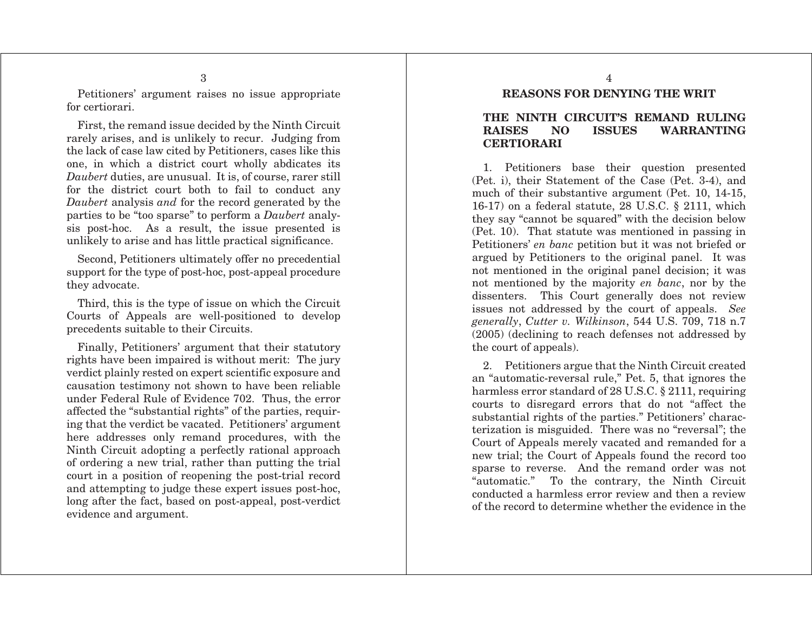Petitioners' argument raises no issue appropriate for certiorari.

First, the remand issue decided by the Ninth Circuit rarely arises, and is unlikely to recur. Judging from the lack of case law cited by Petitioners, cases like this one, in which a district court wholly abdicates its *Daubert* duties, are unusual. It is, of course, rarer still for the district court both to fail to conduct any *Daubert* analysis *and* for the record generated by the parties to be "too sparse" to perform a *Daubert* analysis post-hoc. As a result, the issue presented is unlikely to arise and has little practical significance.

Second, Petitioners ultimately offer no precedential support for the type of post-hoc, post-appeal procedure they advocate.

Third, this is the type of issue on which the Circuit Courts of Appeals are well-positioned to develop precedents suitable to their Circuits.

Finally, Petitioners' argument that their statutory rights have been impaired is without merit: The jury verdict plainly rested on expert scientific exposure and causation testimony not shown to have been reliable under Federal Rule of Evidence 702. Thus, the error affected the "substantial rights" of the parties, requiring that the verdict be vacated. Petitioners' argument here addresses only remand procedures, with the Ninth Circuit adopting a perfectly rational approach of ordering a new trial, rather than putting the trial court in a position of reopening the post-trial record and attempting to judge these expert issues post-hoc, long after the fact, based on post-appeal, post-verdict evidence and argument.

REASONS FOR DENYING THE WRIT

#### THE NINTH CIRCUIT'S REMAND RULING RAISES NO ISSUES WARRANTING **CERTIORARI**

1. Petitioners base their question presented (Pet. i), their Statement of the Case (Pet. 3-4), and much of their substantive argument (Pet. 10, 14-15, 16-17) on a federal statute, 28 U.S.C. § 2111, which they say "cannot be squared" with the decision below (Pet. 10). That statute was mentioned in passing in Petitioners' *en banc* petition but it was not briefed or argued by Petitioners to the original panel. It was not mentioned in the original panel decision; it was not mentioned by the majority *en banc*, nor by the dissenters. This Court generally does not review issues not addressed by the court of appeals. *See generally*, *Cutter v. Wilkinson*, 544 U.S. 709, 718 n.7 (2005) (declining to reach defenses not addressed by the court of appeals).

2. Petitioners argue that the Ninth Circuit created an "automatic-reversal rule," Pet. 5, that ignores the harmless error standard of 28 U.S.C. § 2111, requiring courts to disregard errors that do not "affect the substantial rights of the parties." Petitioners' characterization is misguided. There was no "reversal"; the Court of Appeals merely vacated and remanded for a new trial; the Court of Appeals found the record too sparse to reverse. And the remand order was not "automatic." To the contrary, the Ninth Circuit conducted a harmless error review and then a review of the record to determine whether the evidence in the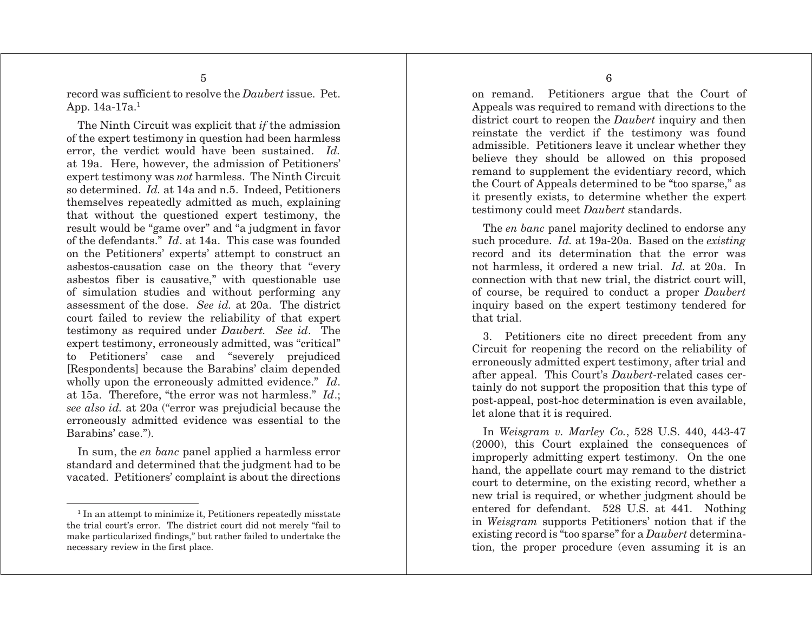record was sufficient to resolve the *Daubert* issue. Pet. App. 14a-17a.1

The Ninth Circuit was explicit that *if* the admission of the expert testimony in question had been harmless error, the verdict would have been sustained. *Id.* at 19a. Here, however, the admission of Petitioners' expert testimony was *not* harmless. The Ninth Circuit so determined. *Id.* at 14a and n.5. Indeed, Petitioners themselves repeatedly admitted as much, explaining that without the questioned expert testimony, the result would be "game over" and "a judgment in favor of the defendants." *Id*. at 14a. This case was founded on the Petitioners' experts' attempt to construct an asbestos-causation case on the theory that "every asbestos fiber is causative," with questionable use of simulation studies and without performing any assessment of the dose. *See id.* at 20a. The district court failed to review the reliability of that expert testimony as required under *Daubert. See id*. The expert testimony, erroneously admitted, was "critical" to Petitioners' case and "severely prejudiced [Respondents] because the Barabins' claim depended wholly upon the erroneously admitted evidence." *Id*. at 15a. Therefore, "the error was not harmless." *Id*.; *see also id.* at 20a ("error was prejudicial because the erroneously admitted evidence was essential to the Barabins' case.").

In sum, the *en banc* panel applied a harmless error standard and determined that the judgment had to be vacated. Petitioners' complaint is about the directions on remand. Petitioners argue that the Court of Appeals was required to remand with directions to the district court to reopen the *Daubert* inquiry and then reinstate the verdict if the testimony was found admissible. Petitioners leave it unclear whether they believe they should be allowed on this proposed remand to supplement the evidentiary record, which the Court of Appeals determined to be "too sparse," as it presently exists, to determine whether the expert testimony could meet *Daubert* standards.

The *en banc* panel majority declined to endorse any such procedure. *Id.* at 19a-20a. Based on the *existing*  record and its determination that the error was not harmless, it ordered a new trial. *Id.* at 20a. In connection with that new trial, the district court will, of course, be required to conduct a proper *Daubert* inquiry based on the expert testimony tendered for that trial.

3. Petitioners cite no direct precedent from any Circuit for reopening the record on the reliability of erroneously admitted expert testimony, after trial and after appeal. This Court's *Daubert*-related cases certainly do not support the proposition that this type of post-appeal, post-hoc determination is even available, let alone that it is required.

In *Weisgram v. Marley Co.*, 528 U.S. 440, 443-47 (2000), this Court explained the consequences of improperly admitting expert testimony. On the one hand, the appellate court may remand to the district court to determine, on the existing record, whether a new trial is required, or whether judgment should be entered for defendant. 528 U.S. at 441. Nothing in *Weisgram* supports Petitioners' notion that if the existing record is "too sparse" for a *Daubert* determination, the proper procedure (even assuming it is an

<sup>&</sup>lt;sup>1</sup> In an attempt to minimize it, Petitioners repeatedly misstate the trial court's error. The district court did not merely "fail to make particularized findings," but rather failed to undertake the necessary review in the first place.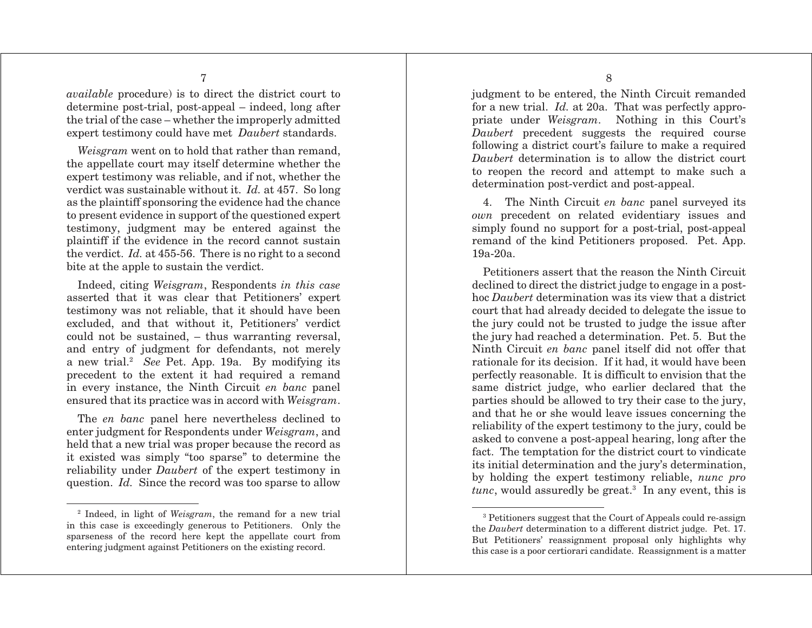*available* procedure) is to direct the district court to determine post-trial, post-appeal – indeed, long after the trial of the case – whether the improperly admitted expert testimony could have met *Daubert* standards.

*Weisgram* went on to hold that rather than remand, the appellate court may itself determine whether the expert testimony was reliable, and if not, whether the verdict was sustainable without it. *Id.* at 457. So long as the plaintiff sponsoring the evidence had the chance to present evidence in support of the questioned expert testimony, judgment may be entered against the plaintiff if the evidence in the record cannot sustain the verdict. *Id.* at 455-56. There is no right to a second bite at the apple to sustain the verdict.

Indeed, citing *Weisgram*, Respondents *in this case*  asserted that it was clear that Petitioners' expert testimony was not reliable, that it should have been excluded, and that without it, Petitioners' verdict could not be sustained, – thus warranting reversal, and entry of judgment for defendants, not merely a new trial.2 *See* Pet. App. 19a. By modifying its precedent to the extent it had required a remand in every instance, the Ninth Circuit *en banc* panel ensured that its practice was in accord with *Weisgram*.

The *en banc* panel here nevertheless declined to enter judgment for Respondents under *Weisgram*, and held that a new trial was proper because the record as it existed was simply "too sparse" to determine the reliability under *Daubert* of the expert testimony in question. *Id.* Since the record was too sparse to allow judgment to be entered, the Ninth Circuit remanded for a new trial. *Id.* at 20a. That was perfectly appropriate under *Weisgram*. Nothing in this Court's *Daubert* precedent suggests the required course following a district court's failure to make a required *Daubert* determination is to allow the district court to reopen the record and attempt to make such a determination post-verdict and post-appeal.

4. The Ninth Circuit *en banc* panel surveyed its *own* precedent on related evidentiary issues and simply found no support for a post-trial, post-appeal remand of the kind Petitioners proposed. Pet. App. 19a-20a.

Petitioners assert that the reason the Ninth Circuit declined to direct the district judge to engage in a posthoc *Daubert* determination was its view that a district court that had already decided to delegate the issue to the jury could not be trusted to judge the issue after the jury had reached a determination. Pet. 5. But the Ninth Circuit *en banc* panel itself did not offer that rationale for its decision. If it had, it would have been perfectly reasonable. It is difficult to envision that the same district judge, who earlier declared that the parties should be allowed to try their case to the jury, and that he or she would leave issues concerning the reliability of the expert testimony to the jury, could be asked to convene a post-appeal hearing, long after the fact. The temptation for the district court to vindicate its initial determination and the jury's determination, by holding the expert testimony reliable, *nunc pro tunc*, would assuredly be great.<sup>3</sup> In any event, this is

<sup>2</sup> Indeed, in light of *Weisgram*, the remand for a new trial in this case is exceedingly generous to Petitioners. Only the sparseness of the record here kept the appellate court from entering judgment against Petitioners on the existing record.

<sup>3</sup> Petitioners suggest that the Court of Appeals could re-assign the *Daubert* determination to a different district judge. Pet. 17. But Petitioners' reassignment proposal only highlights why this case is a poor certiorari candidate. Reassignment is a matter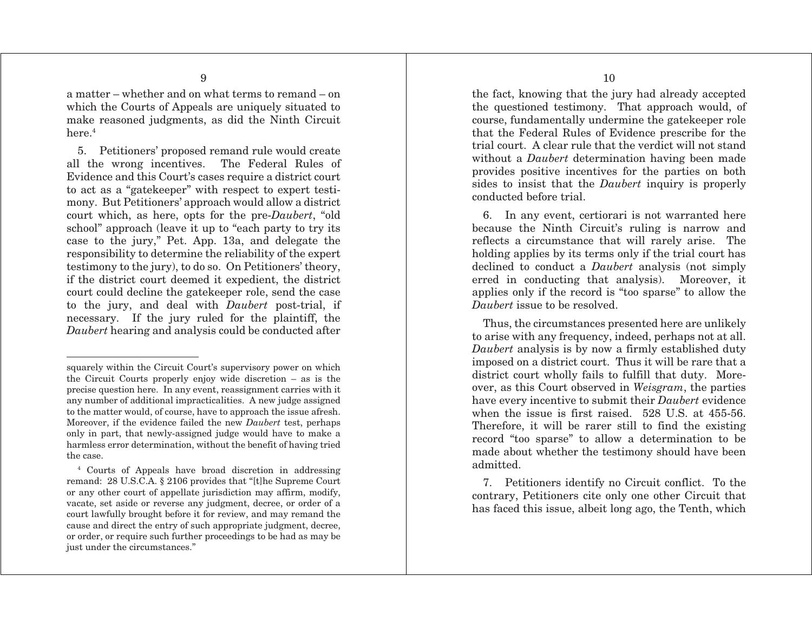a matter – whether and on what terms to remand – on which the Courts of Appeals are uniquely situated to make reasoned judgments, as did the Ninth Circuit here $4$ 

5. Petitioners' proposed remand rule would create all the wrong incentives. The Federal Rules of Evidence and this Court's cases require a district court to act as a "gatekeeper" with respect to expert testimony. But Petitioners' approach would allow a district court which, as here, opts for the pre-*Daubert*, "old school" approach (leave it up to "each party to try its case to the jury," Pet. App. 13a, and delegate the responsibility to determine the reliability of the expert testimony to the jury), to do so. On Petitioners' theory, if the district court deemed it expedient, the district court could decline the gatekeeper role, send the case to the jury, and deal with *Daubert* post-trial, if necessary. If the jury ruled for the plaintiff, the *Daubert* hearing and analysis could be conducted after

the fact, knowing that the jury had already accepted the questioned testimony. That approach would, of course, fundamentally undermine the gatekeeper role that the Federal Rules of Evidence prescribe for the trial court. A clear rule that the verdict will not stand without a *Daubert* determination having been made provides positive incentives for the parties on both sides to insist that the *Daubert* inquiry is properly conducted before trial.

6. In any event, certiorari is not warranted here because the Ninth Circuit's ruling is narrow and reflects a circumstance that will rarely arise. The holding applies by its terms only if the trial court has declined to conduct a *Daubert* analysis (not simply erred in conducting that analysis). Moreover, it applies only if the record is "too sparse" to allow the *Daubert* issue to be resolved.

Thus, the circumstances presented here are unlikely to arise with any frequency, indeed, perhaps not at all. *Daubert* analysis is by now a firmly established duty imposed on a district court. Thus it will be rare that a district court wholly fails to fulfill that duty. Moreover, as this Court observed in *Weisgram*, the parties have every incentive to submit their *Daubert* evidence when the issue is first raised. 528 U.S. at 455-56. Therefore, it will be rarer still to find the existing record "too sparse" to allow a determination to be made about whether the testimony should have been admitted.

squarely within the Circuit Court's supervisory power on which the Circuit Courts properly enjoy wide discretion – as is the precise question here. In any event, reassignment carries with it any number of additional impracticalities. A new judge assigned to the matter would, of course, have to approach the issue afresh. Moreover, if the evidence failed the new *Daubert* test, perhaps only in part, that newly-assigned judge would have to make a harmless error determination, without the benefit of having tried the case.

<sup>4</sup> Courts of Appeals have broad discretion in addressing remand: 28 U.S.C.A. § 2106 provides that "[t]he Supreme Court or any other court of appellate jurisdiction may affirm, modify, vacate, set aside or reverse any judgment, decree, or order of a court lawfully brought before it for review, and may remand the cause and direct the entry of such appropriate judgment, decree, or order, or require such further proceedings to be had as may be just under the circumstances."

<sup>7.</sup> Petitioners identify no Circuit conflict. To the contrary, Petitioners cite only one other Circuit that has faced this issue, albeit long ago, the Tenth, which